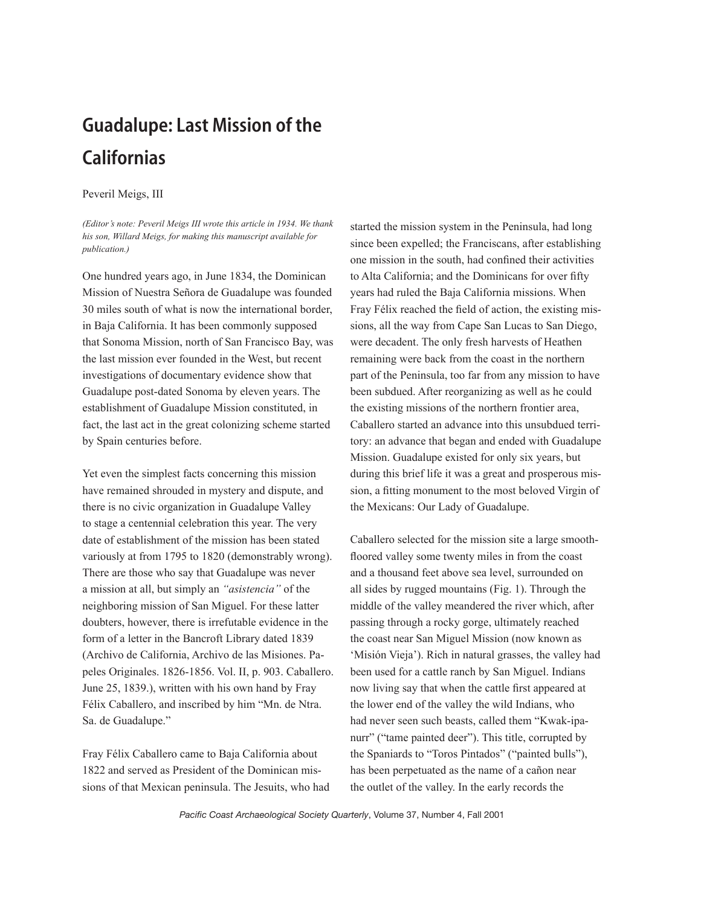## Guadalupe: Last Mission of the **Californias**

## Peveril Meigs, III

*(Editor's note: Peveril Meigs III wrote this article in 1934. We thank his son, Willard Meigs, for making this manuscript available for publication.)*

One hundred years ago, in June 1834, the Dominican Mission of Nuestra Señora de Guadalupe was founded 30 miles south of what is now the international border, in Baja California. It has been commonly supposed that Sonoma Mission, north of San Francisco Bay, was the last mission ever founded in the West, but recent investigations of documentary evidence show that Guadalupe post-dated Sonoma by eleven years. The establishment of Guadalupe Mission constituted, in fact, the last act in the great colonizing scheme started by Spain centuries before.

Yet even the simplest facts concerning this mission have remained shrouded in mystery and dispute, and there is no civic organization in Guadalupe Valley to stage a centennial celebration this year. The very date of establishment of the mission has been stated variously at from 1795 to 1820 (demonstrably wrong). There are those who say that Guadalupe was never a mission at all, but simply an *"asistencia"* of the neighboring mission of San Miguel. For these latter doubters, however, there is irrefutable evidence in the form of a letter in the Bancroft Library dated 1839 (Archivo de California, Archivo de las Misiones. Papeles Originales. 1826-1856. Vol. II, p. 903. Caballero. June 25, 1839.), written with his own hand by Fray Félix Caballero, and inscribed by him "Mn. de Ntra. Sa. de Guadalupe."

Fray Félix Caballero came to Baja California about 1822 and served as President of the Dominican missions of that Mexican peninsula. The Jesuits, who had started the mission system in the Peninsula, had long since been expelled; the Franciscans, after establishing one mission in the south, had confined their activities to Alta California; and the Dominicans for over fifty years had ruled the Baja California missions. When Fray Félix reached the field of action, the existing missions, all the way from Cape San Lucas to San Diego, were decadent. The only fresh harvests of Heathen remaining were back from the coast in the northern part of the Peninsula, too far from any mission to have been subdued. After reorganizing as well as he could the existing missions of the northern frontier area, Caballero started an advance into this unsubdued territory: an advance that began and ended with Guadalupe Mission. Guadalupe existed for only six years, but during this brief life it was a great and prosperous mission, a fitting monument to the most beloved Virgin of the Mexicans: Our Lady of Guadalupe.

Caballero selected for the mission site a large smoothfloored valley some twenty miles in from the coast and a thousand feet above sea level, surrounded on all sides by rugged mountains (Fig. 1). Through the middle of the valley meandered the river which, after passing through a rocky gorge, ultimately reached the coast near San Miguel Mission (now known as 'Misión Vieja'). Rich in natural grasses, the valley had been used for a cattle ranch by San Miguel. Indians now living say that when the cattle first appeared at the lower end of the valley the wild Indians, who had never seen such beasts, called them "Kwak-ipanurr" ("tame painted deer"). This title, corrupted by the Spaniards to "Toros Pintados" ("painted bulls"), has been perpetuated as the name of a cañon near the outlet of the valley. In the early records the

*Pacific Coast Archaeological Society Quarterly*, Volume 37, Number 4, Fall 2001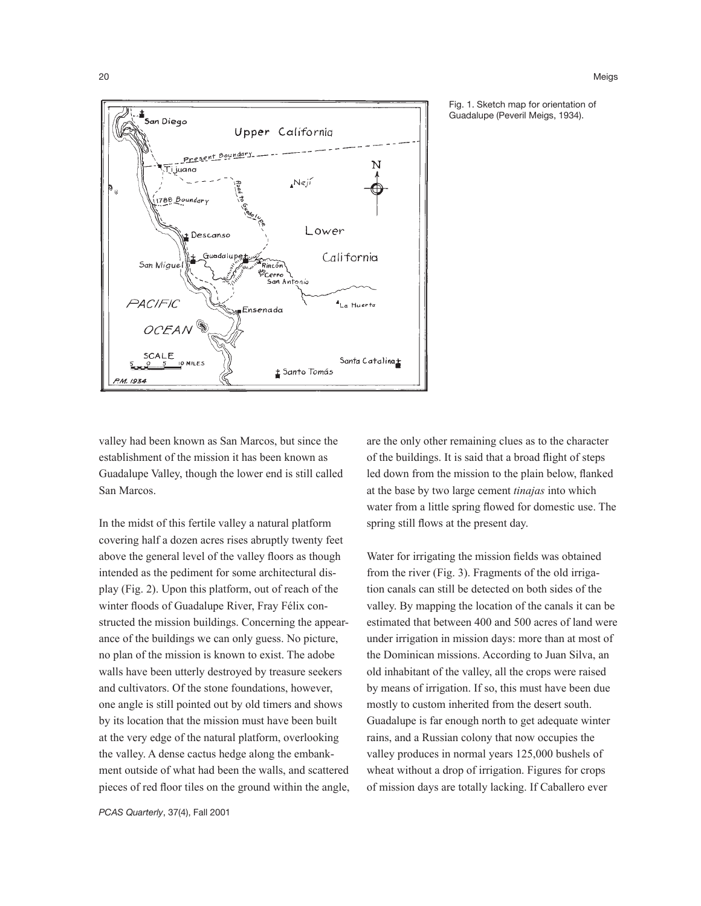

Fig. 1. Sketch map for orientation of Guadalupe (Peveril Meigs, 1934).

valley had been known as San Marcos, but since the establishment of the mission it has been known as Guadalupe Valley, though the lower end is still called San Marcos.

In the midst of this fertile valley a natural platform covering half a dozen acres rises abruptly twenty feet above the general level of the valley floors as though intended as the pediment for some architectural display (Fig. 2). Upon this platform, out of reach of the winter floods of Guadalupe River, Fray Félix constructed the mission buildings. Concerning the appearance of the buildings we can only guess. No picture, no plan of the mission is known to exist. The adobe walls have been utterly destroyed by treasure seekers and cultivators. Of the stone foundations, however, one angle is still pointed out by old timers and shows by its location that the mission must have been built at the very edge of the natural platform, overlooking the valley. A dense cactus hedge along the embankment outside of what had been the walls, and scattered pieces of red floor tiles on the ground within the angle, are the only other remaining clues as to the character of the buildings. It is said that a broad flight of steps led down from the mission to the plain below, flanked at the base by two large cement *tinajas* into which water from a little spring flowed for domestic use. The spring still flows at the present day.

Water for irrigating the mission fields was obtained from the river (Fig. 3). Fragments of the old irrigation canals can still be detected on both sides of the valley. By mapping the location of the canals it can be estimated that between 400 and 500 acres of land were under irrigation in mission days: more than at most of the Dominican missions. According to Juan Silva, an old inhabitant of the valley, all the crops were raised by means of irrigation. If so, this must have been due mostly to custom inherited from the desert south. Guadalupe is far enough north to get adequate winter rains, and a Russian colony that now occupies the valley produces in normal years 125,000 bushels of wheat without a drop of irrigation. Figures for crops of mission days are totally lacking. If Caballero ever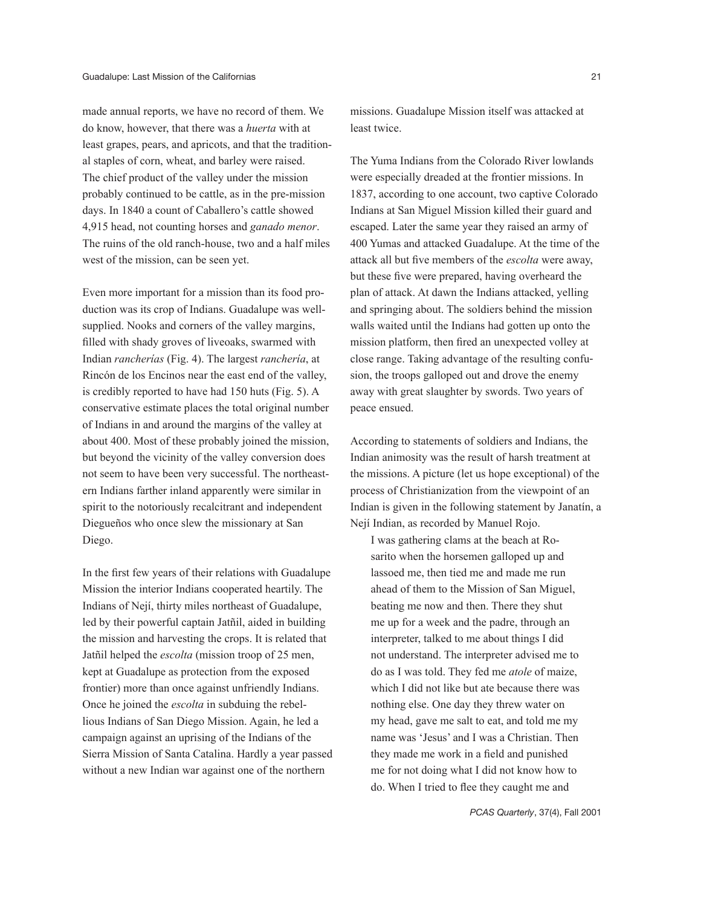made annual reports, we have no record of them. We do know, however, that there was a *huerta* with at least grapes, pears, and apricots, and that the traditional staples of corn, wheat, and barley were raised. The chief product of the valley under the mission probably continued to be cattle, as in the pre-mission days. In 1840 a count of Caballero's cattle showed 4,915 head, not counting horses and *ganado menor*. The ruins of the old ranch-house, two and a half miles west of the mission, can be seen yet.

Even more important for a mission than its food production was its crop of Indians. Guadalupe was wellsupplied. Nooks and corners of the valley margins, filled with shady groves of liveoaks, swarmed with Indian *rancherías* (Fig. 4). The largest *ranchería*, at Rincón de los Encinos near the east end of the valley, is credibly reported to have had 150 huts (Fig. 5). A conservative estimate places the total original number of Indians in and around the margins of the valley at about 400. Most of these probably joined the mission, but beyond the vicinity of the valley conversion does not seem to have been very successful. The northeastern Indians farther inland apparently were similar in spirit to the notoriously recalcitrant and independent Diegueños who once slew the missionary at San Diego.

In the first few years of their relations with Guadalupe Mission the interior Indians cooperated heartily. The Indians of Nejí, thirty miles northeast of Guadalupe, led by their powerful captain Jatñil, aided in building the mission and harvesting the crops. It is related that Jatñil helped the *escolta* (mission troop of 25 men, kept at Guadalupe as protection from the exposed frontier) more than once against unfriendly Indians. Once he joined the *escolta* in subduing the rebellious Indians of San Diego Mission. Again, he led a campaign against an uprising of the Indians of the Sierra Mission of Santa Catalina. Hardly a year passed without a new Indian war against one of the northern

missions. Guadalupe Mission itself was attacked at least twice.

The Yuma Indians from the Colorado River lowlands were especially dreaded at the frontier missions. In 1837, according to one account, two captive Colorado Indians at San Miguel Mission killed their guard and escaped. Later the same year they raised an army of 400 Yumas and attacked Guadalupe. At the time of the attack all but five members of the *escolta* were away, but these five were prepared, having overheard the plan of attack. At dawn the Indians attacked, yelling and springing about. The soldiers behind the mission walls waited until the Indians had gotten up onto the mission platform, then fired an unexpected volley at close range. Taking advantage of the resulting confusion, the troops galloped out and drove the enemy away with great slaughter by swords. Two years of peace ensued.

According to statements of soldiers and Indians, the Indian animosity was the result of harsh treatment at the missions. A picture (let us hope exceptional) of the process of Christianization from the viewpoint of an Indian is given in the following statement by Janatín, a Nejí Indian, as recorded by Manuel Rojo.

I was gathering clams at the beach at Rosarito when the horsemen galloped up and lassoed me, then tied me and made me run ahead of them to the Mission of San Miguel, beating me now and then. There they shut me up for a week and the padre, through an interpreter, talked to me about things I did not understand. The interpreter advised me to do as I was told. They fed me *atole* of maize, which I did not like but ate because there was nothing else. One day they threw water on my head, gave me salt to eat, and told me my name was 'Jesus' and I was a Christian. Then they made me work in a field and punished me for not doing what I did not know how to do. When I tried to flee they caught me and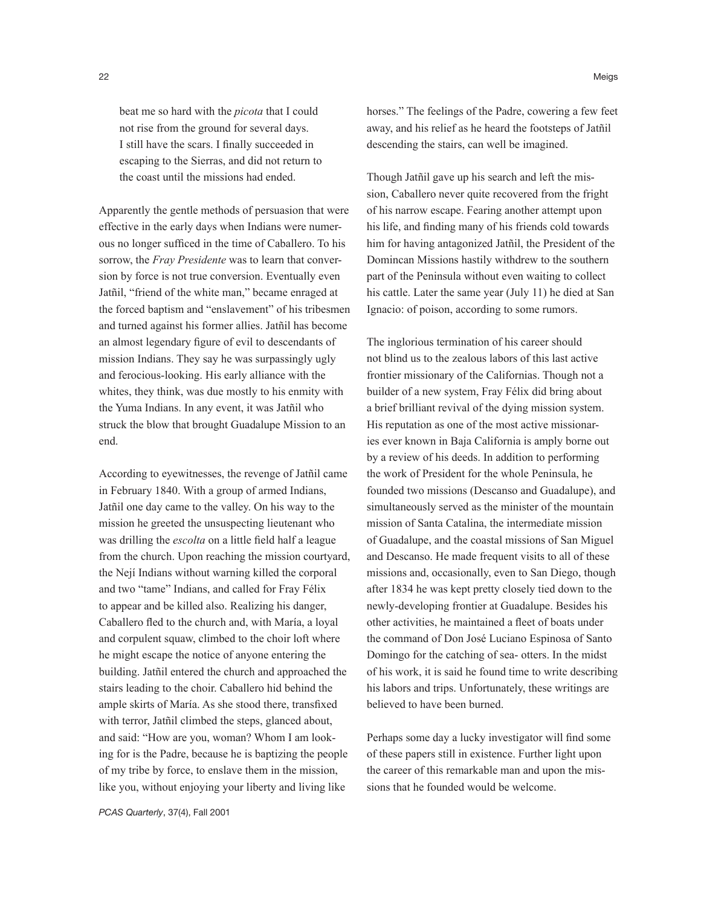beat me so hard with the *picota* that I could not rise from the ground for several days. I still have the scars. I finally succeeded in escaping to the Sierras, and did not return to the coast until the missions had ended.

Apparently the gentle methods of persuasion that were effective in the early days when Indians were numerous no longer sufficed in the time of Caballero. To his sorrow, the *Fray Presidente* was to learn that conversion by force is not true conversion. Eventually even Jatñil, "friend of the white man," became enraged at the forced baptism and "enslavement" of his tribesmen and turned against his former allies. Jatñil has become an almost legendary figure of evil to descendants of mission Indians. They say he was surpassingly ugly and ferocious-looking. His early alliance with the whites, they think, was due mostly to his enmity with the Yuma Indians. In any event, it was Jatñil who struck the blow that brought Guadalupe Mission to an end.

According to eyewitnesses, the revenge of Jatñil came in February 1840. With a group of armed Indians, Jatñil one day came to the valley. On his way to the mission he greeted the unsuspecting lieutenant who was drilling the *escolta* on a little field half a league from the church. Upon reaching the mission courtyard, the Nejí Indians without warning killed the corporal and two "tame" Indians, and called for Fray Félix to appear and be killed also. Realizing his danger, Caballero fled to the church and, with María, a loyal and corpulent squaw, climbed to the choir loft where he might escape the notice of anyone entering the building. Jatñil entered the church and approached the stairs leading to the choir. Caballero hid behind the ample skirts of María. As she stood there, transfixed with terror, Jatñil climbed the steps, glanced about, and said: "How are you, woman? Whom I am looking for is the Padre, because he is baptizing the people of my tribe by force, to enslave them in the mission, like you, without enjoying your liberty and living like

*PCAS Quarterly*, 37(4), Fall 2001

horses." The feelings of the Padre, cowering a few feet away, and his relief as he heard the footsteps of Jatñil descending the stairs, can well be imagined.

Though Jatñil gave up his search and left the mission, Caballero never quite recovered from the fright of his narrow escape. Fearing another attempt upon his life, and finding many of his friends cold towards him for having antagonized Jatñil, the President of the Domincan Missions hastily withdrew to the southern part of the Peninsula without even waiting to collect his cattle. Later the same year (July 11) he died at San Ignacio: of poison, according to some rumors.

The inglorious termination of his career should not blind us to the zealous labors of this last active frontier missionary of the Californias. Though not a builder of a new system, Fray Félix did bring about a brief brilliant revival of the dying mission system. His reputation as one of the most active missionaries ever known in Baja California is amply borne out by a review of his deeds. In addition to performing the work of President for the whole Peninsula, he founded two missions (Descanso and Guadalupe), and simultaneously served as the minister of the mountain mission of Santa Catalina, the intermediate mission of Guadalupe, and the coastal missions of San Miguel and Descanso. He made frequent visits to all of these missions and, occasionally, even to San Diego, though after 1834 he was kept pretty closely tied down to the newly-developing frontier at Guadalupe. Besides his other activities, he maintained a fleet of boats under the command of Don José Luciano Espinosa of Santo Domingo for the catching of sea- otters. In the midst of his work, it is said he found time to write describing his labors and trips. Unfortunately, these writings are believed to have been burned.

Perhaps some day a lucky investigator will find some of these papers still in existence. Further light upon the career of this remarkable man and upon the missions that he founded would be welcome.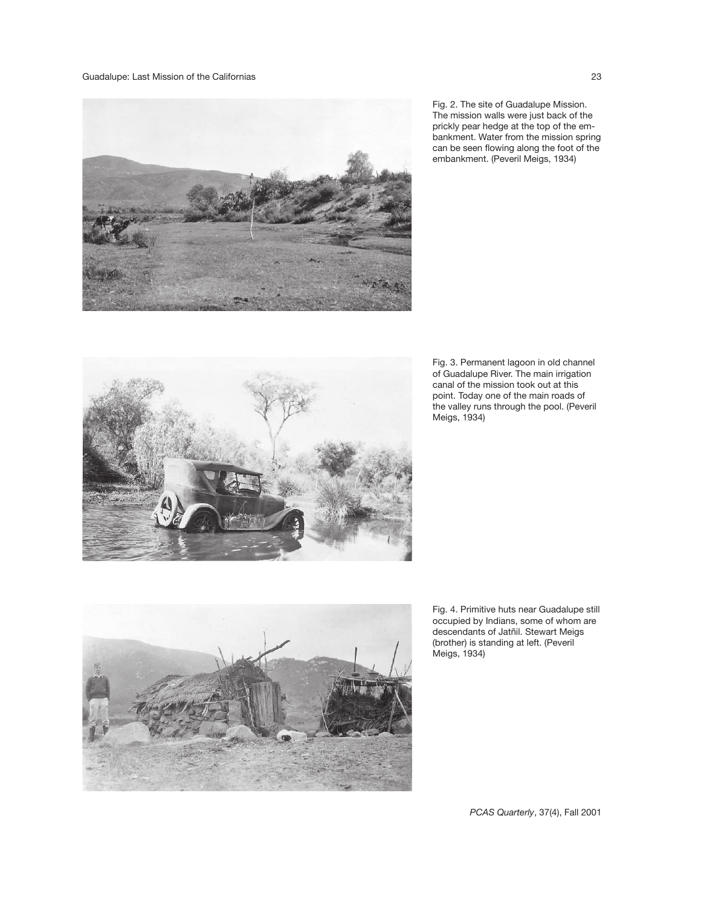

Fig. 2. The site of Guadalupe Mission. The mission walls were just back of the prickly pear hedge at the top of the embankment. Water from the mission spring can be seen flowing along the foot of the embankment. (Peveril Meigs, 1934)



Fig. 3. Permanent lagoon in old channel of Guadalupe River. The main irrigation canal of the mission took out at this point. Today one of the main roads of the valley runs through the pool. (Peveril Meigs, 1934)



Fig. 4. Primitive huts near Guadalupe still occupied by Indians, some of whom are descendants of Jatñil. Stewart Meigs (brother) is standing at left. (Peveril Meigs, 1934)

*PCAS Quarterly*, 37(4), Fall 2001